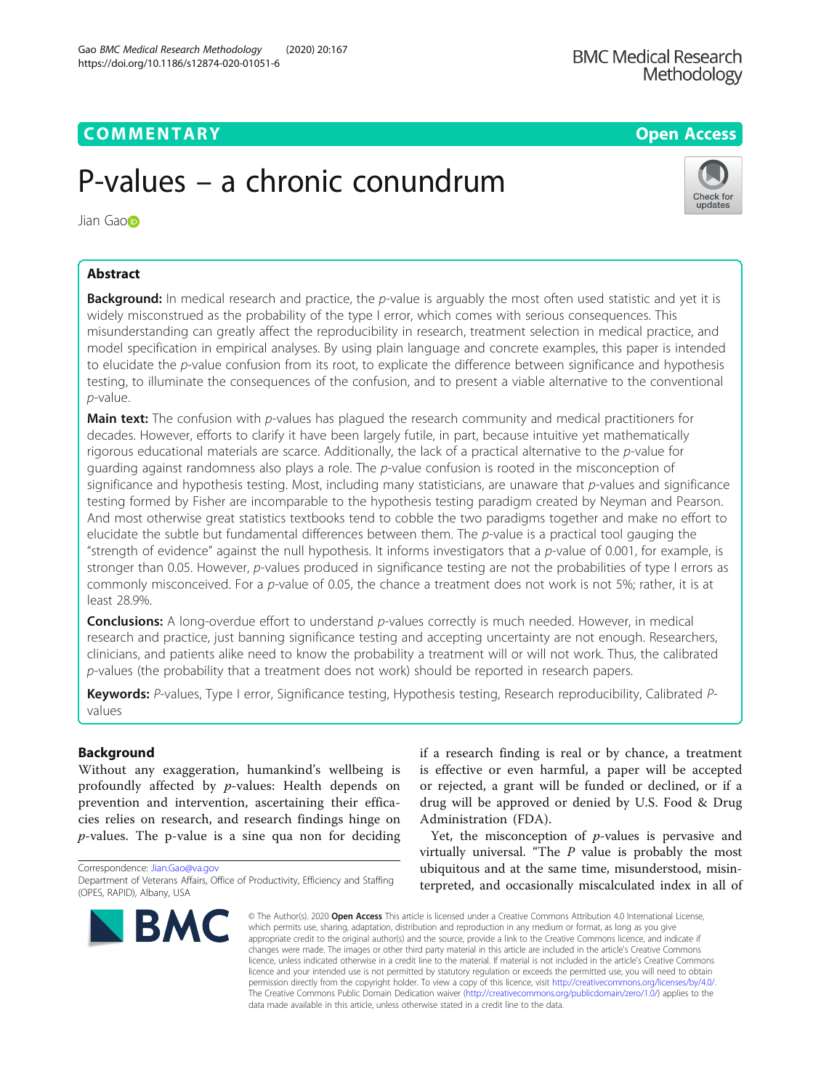# P-values – a chronic conundrum

Jian Ga[o](http://orcid.org/0000-0001-8101-740X)n

# Abstract

Background: In medical research and practice, the p-value is arguably the most often used statistic and yet it is widely misconstrued as the probability of the type I error, which comes with serious consequences. This misunderstanding can greatly affect the reproducibility in research, treatment selection in medical practice, and model specification in empirical analyses. By using plain language and concrete examples, this paper is intended to elucidate the p-value confusion from its root, to explicate the difference between significance and hypothesis testing, to illuminate the consequences of the confusion, and to present a viable alternative to the conventional p-value.

**Main text:** The confusion with p-values has plagued the research community and medical practitioners for decades. However, efforts to clarify it have been largely futile, in part, because intuitive yet mathematically rigorous educational materials are scarce. Additionally, the lack of a practical alternative to the  $p$ -value for guarding against randomness also plays a role. The p-value confusion is rooted in the misconception of significance and hypothesis testing. Most, including many statisticians, are unaware that  $p$ -values and significance testing formed by Fisher are incomparable to the hypothesis testing paradigm created by Neyman and Pearson. And most otherwise great statistics textbooks tend to cobble the two paradigms together and make no effort to elucidate the subtle but fundamental differences between them. The p-value is a practical tool gauging the "strength of evidence" against the null hypothesis. It informs investigators that a  $p$ -value of 0.001, for example, is stronger than 0.05. However, p-values produced in significance testing are not the probabilities of type I errors as commonly misconceived. For a p-value of 0.05, the chance a treatment does not work is not 5%; rather, it is at least 28.9%.

**Conclusions:** A long-overdue effort to understand p-values correctly is much needed. However, in medical research and practice, just banning significance testing and accepting uncertainty are not enough. Researchers, clinicians, and patients alike need to know the probability a treatment will or will not work. Thus, the calibrated p-values (the probability that a treatment does not work) should be reported in research papers.

Keywords: P-values, Type I error, Significance testing, Hypothesis testing, Research reproducibility, Calibrated Pvalues

# Background

Without any exaggeration, humankind's wellbeing is profoundly affected by p-values: Health depends on prevention and intervention, ascertaining their efficacies relies on research, and research findings hinge on  $p$ -values. The p-value is a sine qua non for deciding

Department of Veterans Affairs, Office of Productivity, Efficiency and Staffing (OPES, RAPID), Albany, USA

is effective or even harmful, a paper will be accepted or rejected, a grant will be funded or declined, or if a drug will be approved or denied by U.S. Food & Drug Administration (FDA). Yet, the misconception of  $p$ -values is pervasive and

if a research finding is real or by chance, a treatment

virtually universal. "The  $P$  value is probably the most ubiquitous and at the same time, misunderstood, misinterpreted, and occasionally miscalculated index in all of

© The Author(s), 2020 **Open Access** This article is licensed under a Creative Commons Attribution 4.0 International License, which permits use, sharing, adaptation, distribution and reproduction in any medium or format, as long as you give appropriate credit to the original author(s) and the source, provide a link to the Creative Commons licence, and indicate if changes were made. The images or other third party material in this article are included in the article's Creative Commons licence, unless indicated otherwise in a credit line to the material. If material is not included in the article's Creative Commons licence and your intended use is not permitted by statutory regulation or exceeds the permitted use, you will need to obtain permission directly from the copyright holder. To view a copy of this licence, visit [http://creativecommons.org/licenses/by/4.0/.](http://creativecommons.org/licenses/by/4.0/) The Creative Commons Public Domain Dedication waiver [\(http://creativecommons.org/publicdomain/zero/1.0/](http://creativecommons.org/publicdomain/zero/1.0/)) applies to the data made available in this article, unless otherwise stated in a credit line to the data.

Correspondence: [Jian.Gao@va.gov](mailto:Jian.Gao@va.gov)

**RMC** 



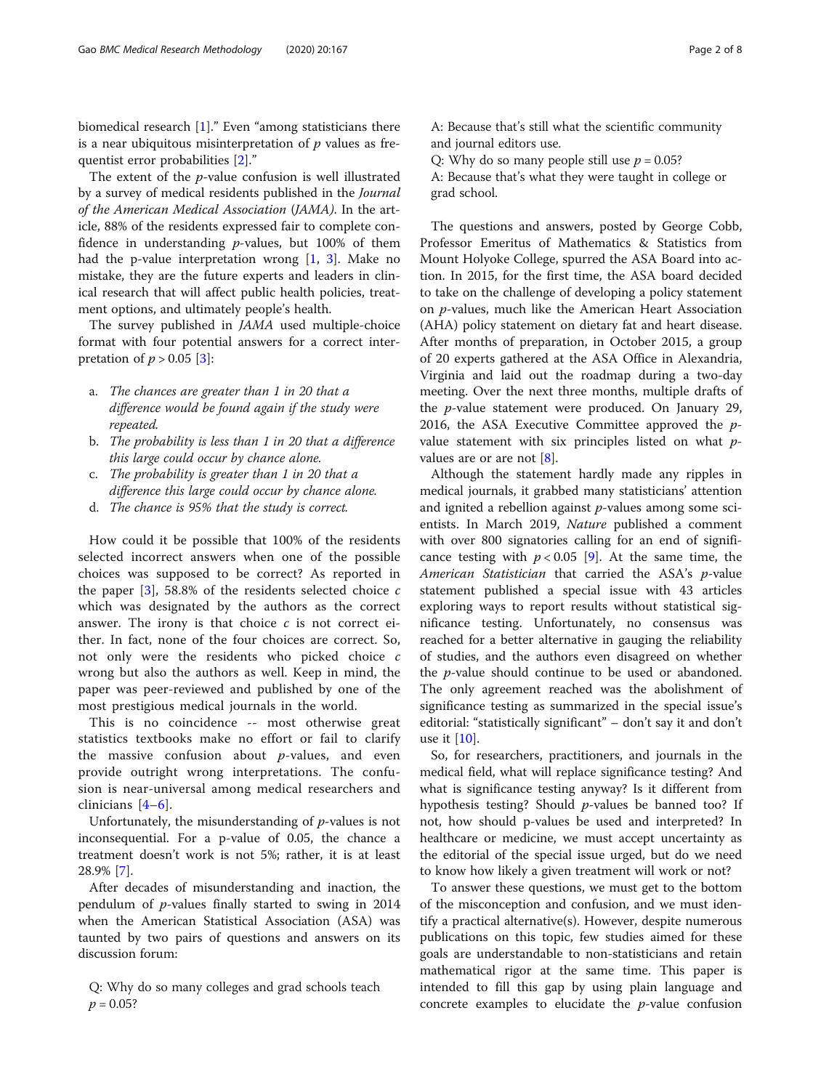biomedical research [[1\]](#page-7-0)." Even "among statisticians there is a near ubiquitous misinterpretation of  $p$  values as frequentist error probabilities [\[2](#page-7-0)]."

The extent of the p-value confusion is well illustrated by a survey of medical residents published in the Journal of the American Medical Association (JAMA). In the article, 88% of the residents expressed fair to complete confidence in understanding  $p$ -values, but 100% of them had the p-value interpretation wrong  $[1, 3]$  $[1, 3]$  $[1, 3]$  $[1, 3]$ . Make no mistake, they are the future experts and leaders in clinical research that will affect public health policies, treatment options, and ultimately people's health.

The survey published in JAMA used multiple-choice format with four potential answers for a correct interpretation of  $p > 0.05$  [[3\]](#page-7-0):

- a. The chances are greater than 1 in 20 that a difference would be found again if the study were repeated.
- b. The probability is less than 1 in 20 that a difference this large could occur by chance alone.
- c. The probability is greater than 1 in 20 that a difference this large could occur by chance alone.
- d. The chance is 95% that the study is correct.

How could it be possible that 100% of the residents selected incorrect answers when one of the possible choices was supposed to be correct? As reported in the paper  $[3]$  $[3]$ , 58.8% of the residents selected choice c which was designated by the authors as the correct answer. The irony is that choice  $c$  is not correct either. In fact, none of the four choices are correct. So, not only were the residents who picked choice c wrong but also the authors as well. Keep in mind, the paper was peer-reviewed and published by one of the most prestigious medical journals in the world.

This is no coincidence -- most otherwise great statistics textbooks make no effort or fail to clarify the massive confusion about  $p$ -values, and even provide outright wrong interpretations. The confusion is near-universal among medical researchers and clinicians [\[4](#page-7-0)–[6\]](#page-7-0).

Unfortunately, the misunderstanding of  $p$ -values is not inconsequential. For a p-value of 0.05, the chance a treatment doesn't work is not 5%; rather, it is at least 28.9% [[7](#page-7-0)].

After decades of misunderstanding and inaction, the pendulum of p-values finally started to swing in 2014 when the American Statistical Association (ASA) was taunted by two pairs of questions and answers on its discussion forum:

Q: Why do so many colleges and grad schools teach  $p = 0.05?$ 

A: Because that's still what the scientific community and journal editors use.

Q: Why do so many people still use  $p = 0.05$ ?

A: Because that's what they were taught in college or grad school.

The questions and answers, posted by George Cobb, Professor Emeritus of Mathematics & Statistics from Mount Holyoke College, spurred the ASA Board into action. In 2015, for the first time, the ASA board decided to take on the challenge of developing a policy statement on p-values, much like the American Heart Association (AHA) policy statement on dietary fat and heart disease. After months of preparation, in October 2015, a group of 20 experts gathered at the ASA Office in Alexandria, Virginia and laid out the roadmap during a two-day meeting. Over the next three months, multiple drafts of the p-value statement were produced. On January 29, 2016, the ASA Executive Committee approved the  $p$ value statement with six principles listed on what pvalues are or are not [[8\]](#page-7-0).

Although the statement hardly made any ripples in medical journals, it grabbed many statisticians' attention and ignited a rebellion against p-values among some scientists. In March 2019, Nature published a comment with over 800 signatories calling for an end of significance testing with  $p < 0.05$  [[9\]](#page-7-0). At the same time, the American Statistician that carried the ASA's p-value statement published a special issue with 43 articles exploring ways to report results without statistical significance testing. Unfortunately, no consensus was reached for a better alternative in gauging the reliability of studies, and the authors even disagreed on whether the  $p$ -value should continue to be used or abandoned. The only agreement reached was the abolishment of significance testing as summarized in the special issue's editorial: "statistically significant" – don't say it and don't use it [[10\]](#page-7-0).

So, for researchers, practitioners, and journals in the medical field, what will replace significance testing? And what is significance testing anyway? Is it different from hypothesis testing? Should p-values be banned too? If not, how should p-values be used and interpreted? In healthcare or medicine, we must accept uncertainty as the editorial of the special issue urged, but do we need to know how likely a given treatment will work or not?

To answer these questions, we must get to the bottom of the misconception and confusion, and we must identify a practical alternative(s). However, despite numerous publications on this topic, few studies aimed for these goals are understandable to non-statisticians and retain mathematical rigor at the same time. This paper is intended to fill this gap by using plain language and concrete examples to elucidate the  $p$ -value confusion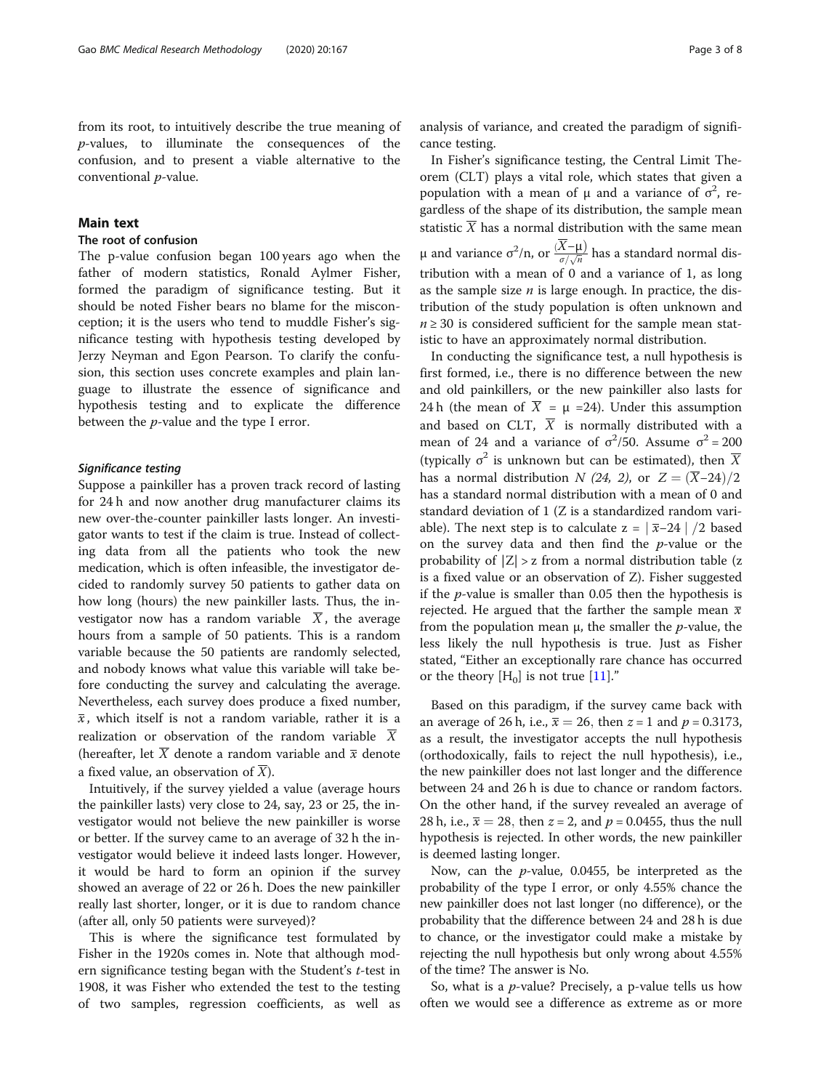from its root, to intuitively describe the true meaning of p-values, to illuminate the consequences of the confusion, and to present a viable alternative to the conventional p-value.

# Main text

# The root of confusion

The p-value confusion began 100 years ago when the father of modern statistics, Ronald Aylmer Fisher, formed the paradigm of significance testing. But it should be noted Fisher bears no blame for the misconception; it is the users who tend to muddle Fisher's significance testing with hypothesis testing developed by Jerzy Neyman and Egon Pearson. To clarify the confusion, this section uses concrete examples and plain language to illustrate the essence of significance and hypothesis testing and to explicate the difference between the p-value and the type I error.

Suppose a painkiller has a proven track record of lasting for 24 h and now another drug manufacturer claims its new over-the-counter painkiller lasts longer. An investigator wants to test if the claim is true. Instead of collecting data from all the patients who took the new medication, which is often infeasible, the investigator decided to randomly survey 50 patients to gather data on how long (hours) the new painkiller lasts. Thus, the investigator now has a random variable  $\overline{X}$ , the average hours from a sample of 50 patients. This is a random variable because the 50 patients are randomly selected, and nobody knows what value this variable will take before conducting the survey and calculating the average. Nevertheless, each survey does produce a fixed number,  $\bar{x}$ , which itself is not a random variable, rather it is a realization or observation of the random variable  $\overline{X}$ (hereafter, let  $\overline{X}$  denote a random variable and  $\overline{x}$  denote a fixed value, an observation of  $\overline{X}$ ).

Intuitively, if the survey yielded a value (average hours the painkiller lasts) very close to 24, say, 23 or 25, the investigator would not believe the new painkiller is worse or better. If the survey came to an average of 32 h the investigator would believe it indeed lasts longer. However, it would be hard to form an opinion if the survey showed an average of 22 or 26 h. Does the new painkiller really last shorter, longer, or it is due to random chance (after all, only 50 patients were surveyed)?

This is where the significance test formulated by Fisher in the 1920s comes in. Note that although modern significance testing began with the Student's t-test in 1908, it was Fisher who extended the test to the testing of two samples, regression coefficients, as well as

analysis of variance, and created the paradigm of significance testing.

In Fisher's significance testing, the Central Limit Theorem (CLT) plays a vital role, which states that given a population with a mean of  $\mu$  and a variance of  $\sigma^2$ , regardless of the shape of its distribution, the sample mean statistic  $\overline{X}$  has a normal distribution with the same mean μ and variance σ<sup>2</sup>/n, or  $\frac{(\overline{X} - \mu)}{\sigma / \sqrt{n}}$  has a standard normal distribution with a mean of 0 and a variance of 1, as long as the sample size  $n$  is large enough. In practice, the distribution of the study population is often unknown and  $n \geq 30$  is considered sufficient for the sample mean statistic to have an approximately normal distribution.

In conducting the significance test, a null hypothesis is first formed, i.e., there is no difference between the new and old painkillers, or the new painkiller also lasts for 24 h (the mean of  $\overline{X} = \mu = 24$ ). Under this assumption and based on CLT,  $\overline{X}$  is normally distributed with a mean of 24 and a variance of  $\sigma^2/50$ . Assume  $\sigma^2 = 200$ (typically  $\sigma^2$  is unknown but can be estimated), then  $\overline{X}$ has a normal distribution  $N$  (24, 2), or  $Z = (\overline{X}$ -24)/2 has a standard normal distribution with a mean of 0 and standard deviation of 1 (Z is a standardized random variable). The next step is to calculate  $z = \sqrt{\overline{x} - 24}$  | /2 based on the survey data and then find the  $p$ -value or the probability of  $|Z| > z$  from a normal distribution table (z is a fixed value or an observation of Z). Fisher suggested if the  $p$ -value is smaller than 0.05 then the hypothesis is rejected. He argued that the farther the sample mean  $\bar{x}$ from the population mean  $\mu$ , the smaller the *p*-value, the less likely the null hypothesis is true. Just as Fisher stated, "Either an exceptionally rare chance has occurred or the theory  $[H_0]$  is not true  $[11]$  $[11]$ ."

Based on this paradigm, if the survey came back with an average of 26 h, i.e.,  $\bar{x} = 26$ , then  $z = 1$  and  $p = 0.3173$ , as a result, the investigator accepts the null hypothesis (orthodoxically, fails to reject the null hypothesis), i.e., the new painkiller does not last longer and the difference between 24 and 26 h is due to chance or random factors. On the other hand, if the survey revealed an average of 28 h, i.e.,  $\bar{x} = 28$ , then  $z = 2$ , and  $p = 0.0455$ , thus the null hypothesis is rejected. In other words, the new painkiller is deemed lasting longer.

Now, can the p-value, 0.0455, be interpreted as the probability of the type I error, or only 4.55% chance the new painkiller does not last longer (no difference), or the probability that the difference between 24 and 28 h is due to chance, or the investigator could make a mistake by rejecting the null hypothesis but only wrong about 4.55% of the time? The answer is No.

So, what is a p-value? Precisely, a p-value tells us how often we would see a difference as extreme as or more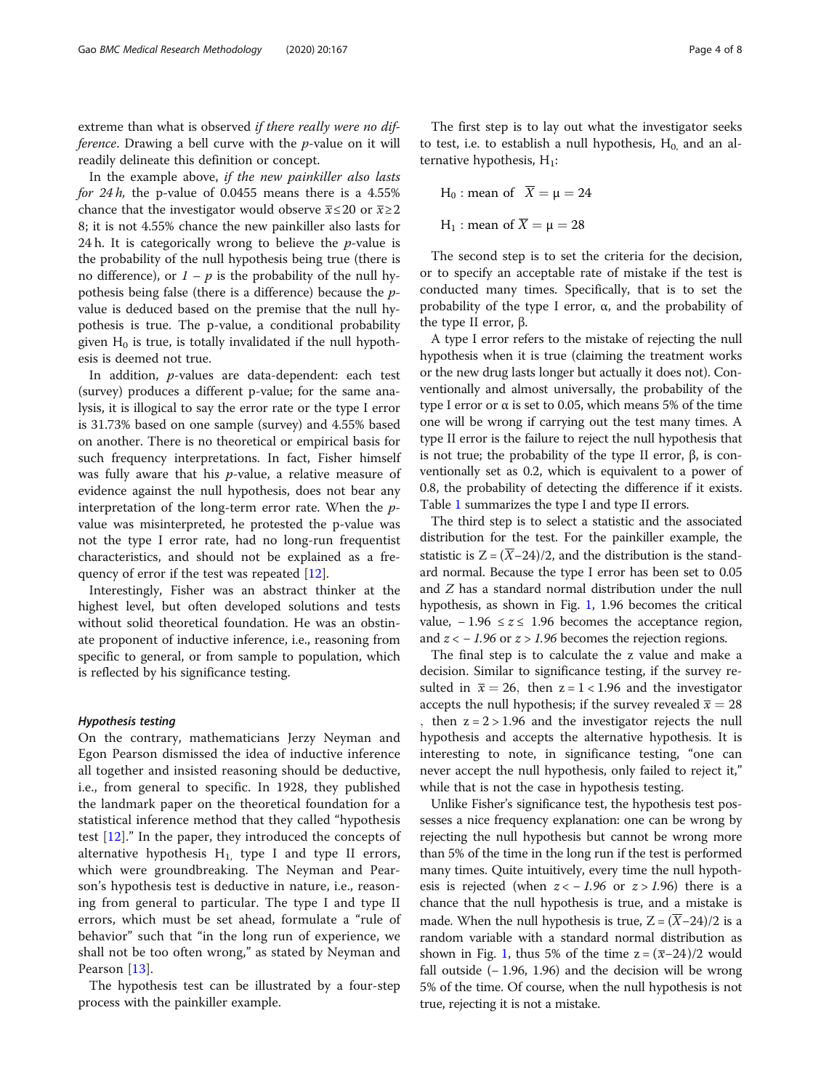extreme than what is observed if there really were no difference. Drawing a bell curve with the  $p$ -value on it will readily delineate this definition or concept.

In the example above, if the new painkiller also lasts for 24 $h$ , the p-value of 0.0455 means there is a 4.55% chance that the investigator would observe  $\bar{x}$  ≤ 20 or  $\bar{x}$  ≥ 2 8; it is not 4.55% chance the new painkiller also lasts for 24 h. It is categorically wrong to believe the  $p$ -value is the probability of the null hypothesis being true (there is no difference), or  $1 - p$  is the probability of the null hypothesis being false (there is a difference) because the pvalue is deduced based on the premise that the null hypothesis is true. The p-value, a conditional probability given  $H_0$  is true, is totally invalidated if the null hypothesis is deemed not true.

In addition, p-values are data-dependent: each test (survey) produces a different p-value; for the same analysis, it is illogical to say the error rate or the type I error is 31.73% based on one sample (survey) and 4.55% based on another. There is no theoretical or empirical basis for such frequency interpretations. In fact, Fisher himself was fully aware that his  $p$ -value, a relative measure of evidence against the null hypothesis, does not bear any interpretation of the long-term error rate. When the  $p$ value was misinterpreted, he protested the p-value was not the type I error rate, had no long-run frequentist characteristics, and should not be explained as a frequency of error if the test was repeated [[12\]](#page-7-0).

Interestingly, Fisher was an abstract thinker at the highest level, but often developed solutions and tests without solid theoretical foundation. He was an obstinate proponent of inductive inference, i.e., reasoning from specific to general, or from sample to population, which is reflected by his significance testing.

Hypothesis testing On the contrary, mathematicians Jerzy Neyman and Egon Pearson dismissed the idea of inductive inference all together and insisted reasoning should be deductive, i.e., from general to specific. In 1928, they published the landmark paper on the theoretical foundation for a statistical inference method that they called "hypothesis test [[12\]](#page-7-0)." In the paper, they introduced the concepts of alternative hypothesis  $H_1$ , type I and type II errors, which were groundbreaking. The Neyman and Pearson's hypothesis test is deductive in nature, i.e., reasoning from general to particular. The type I and type II errors, which must be set ahead, formulate a "rule of behavior" such that "in the long run of experience, we shall not be too often wrong," as stated by Neyman and Pearson [[13\]](#page-7-0).

The hypothesis test can be illustrated by a four-step process with the painkiller example.

H<sub>0</sub> : mean of  $\overline{X} = \mu = 24$ H<sub>1</sub> : mean of  $\overline{X} = \mu = 28$ 

The second step is to set the criteria for the decision, or to specify an acceptable rate of mistake if the test is conducted many times. Specifically, that is to set the probability of the type I error, α, and the probability of the type II error, β.

A type I error refers to the mistake of rejecting the null hypothesis when it is true (claiming the treatment works or the new drug lasts longer but actually it does not). Conventionally and almost universally, the probability of the type I error or α is set to 0.05, which means 5% of the time one will be wrong if carrying out the test many times. A type II error is the failure to reject the null hypothesis that is not true; the probability of the type II error, β, is conventionally set as 0.2, which is equivalent to a power of 0.8, the probability of detecting the difference if it exists. Table [1](#page-4-0) summarizes the type I and type II errors.

The third step is to select a statistic and the associated distribution for the test. For the painkiller example, the statistic is  $Z = (\overline{X} - 24)/2$ , and the distribution is the standard normal. Because the type I error has been set to 0.05 and Z has a standard normal distribution under the null hypothesis, as shown in Fig. [1,](#page-4-0) 1.96 becomes the critical value,  $-1.96 ≤ z ≤ 1.96$  becomes the acceptance region, and  $z < -1.96$  or  $z > 1.96$  becomes the rejection regions.

The final step is to calculate the z value and make a decision. Similar to significance testing, if the survey resulted in  $\bar{x} = 26$ , then  $z = 1 < 1.96$  and the investigator accepts the null hypothesis; if the survey revealed  $\bar{x} = 28$  $,$  then  $z = 2 > 1.96$  and the investigator rejects the null hypothesis and accepts the alternative hypothesis. It is interesting to note, in significance testing, "one can never accept the null hypothesis, only failed to reject it," while that is not the case in hypothesis testing.

Unlike Fisher's significance test, the hypothesis test possesses a nice frequency explanation: one can be wrong by rejecting the null hypothesis but cannot be wrong more than 5% of the time in the long run if the test is performed many times. Quite intuitively, every time the null hypothesis is rejected (when  $z < -1.96$  or  $z > 1.96$ ) there is a chance that the null hypothesis is true, and a mistake is made. When the null hypothesis is true,  $Z = (\overline{X} - 24)/2$  is a random variable with a standard normal distribution as shown in Fig. [1,](#page-4-0) thus 5% of the time  $z = (\overline{x}-24)/2$  would fall outside  $(-1.96, 1.96)$  and the decision will be wrong 5% of the time. Of course, when the null hypothesis is not true, rejecting it is not a mistake.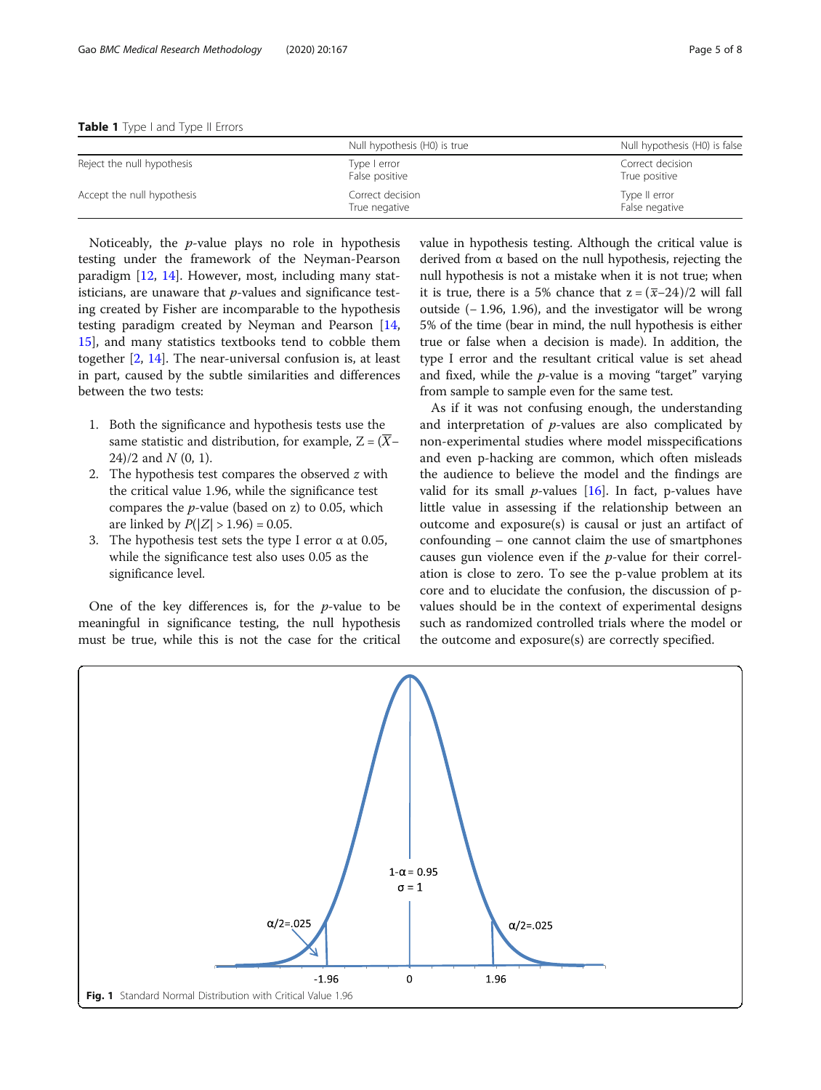<span id="page-4-0"></span>

|                            | Null hypothesis (H0) is true      | Null hypothesis (H0) is false     |  |  |
|----------------------------|-----------------------------------|-----------------------------------|--|--|
| Reject the null hypothesis | Type I error<br>False positive    | Correct decision<br>True positive |  |  |
| Accept the null hypothesis | Correct decision<br>True negative | Type II error<br>False negative   |  |  |

Noticeably, the p-value plays no role in hypothesis testing under the framework of the Neyman-Pearson paradigm [[12,](#page-7-0) [14](#page-7-0)]. However, most, including many statisticians, are unaware that  $p$ -values and significance testing created by Fisher are incomparable to the hypothesis testing paradigm created by Neyman and Pearson [[14](#page-7-0), [15\]](#page-7-0), and many statistics textbooks tend to cobble them together [\[2,](#page-7-0) [14](#page-7-0)]. The near-universal confusion is, at least in part, caused by the subtle similarities and differences between the two tests:

- 1. Both the significance and hypothesis tests use the same statistic and distribution, for example,  $Z = (\overline{X} 24$ /2 and  $N$  (0, 1).
- 2. The hypothesis test compares the observed  $z$  with the critical value 1.96, while the significance test compares the  $p$ -value (based on z) to 0.05, which are linked by  $P(|Z| > 1.96) = 0.05$ .
- 3. The hypothesis test sets the type I error  $\alpha$  at 0.05, while the significance test also uses 0.05 as the significance level.

One of the key differences is, for the  $p$ -value to be meaningful in significance testing, the null hypothesis must be true, while this is not the case for the critical value in hypothesis testing. Although the critical value is derived from α based on the null hypothesis, rejecting the null hypothesis is not a mistake when it is not true; when it is true, there is a 5% chance that  $z = (\overline{x} - 24)/2$  will fall outside (− 1.96, 1.96), and the investigator will be wrong 5% of the time (bear in mind, the null hypothesis is either true or false when a decision is made). In addition, the type I error and the resultant critical value is set ahead and fixed, while the  $p$ -value is a moving "target" varying from sample to sample even for the same test.

As if it was not confusing enough, the understanding and interpretation of p-values are also complicated by non-experimental studies where model misspecifications and even p-hacking are common, which often misleads the audience to believe the model and the findings are valid for its small *p*-values  $[16]$  $[16]$ . In fact, *p*-values have little value in assessing if the relationship between an outcome and exposure(s) is causal or just an artifact of confounding – one cannot claim the use of smartphones causes gun violence even if the p-value for their correlation is close to zero. To see the p-value problem at its core and to elucidate the confusion, the discussion of pvalues should be in the context of experimental designs such as randomized controlled trials where the model or the outcome and exposure(s) are correctly specified.

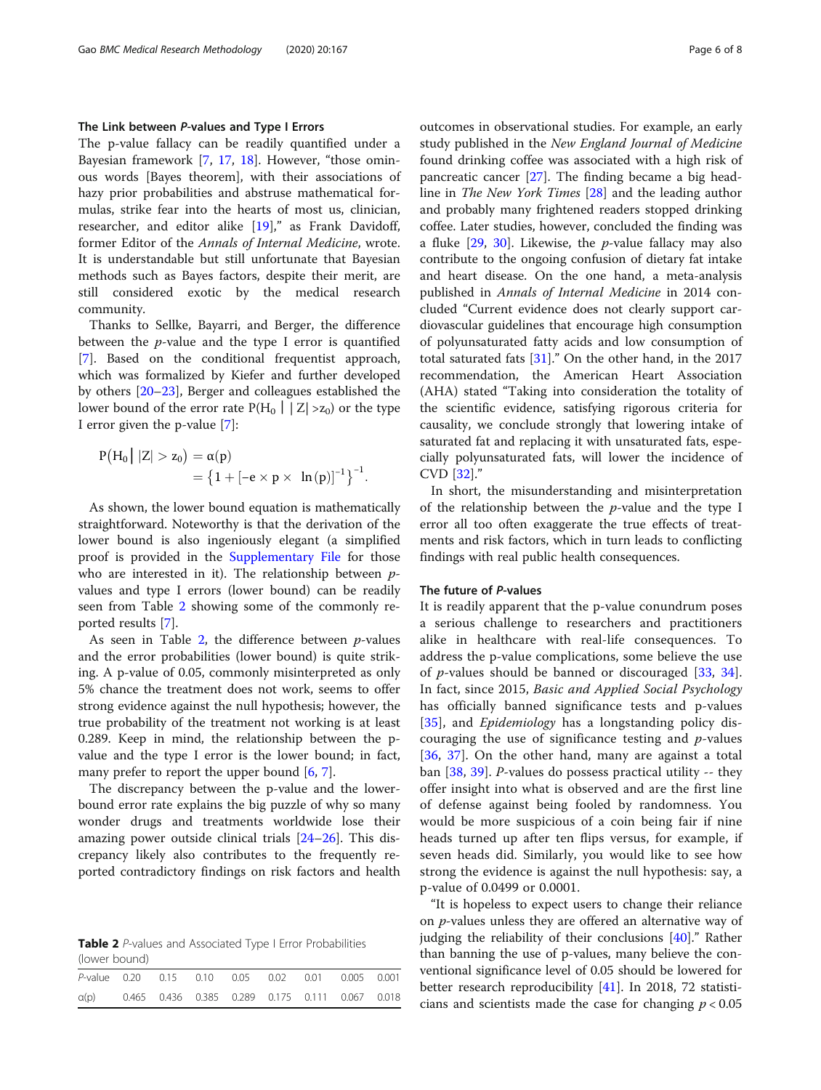# The Link between P-values and Type I Errors

The p-value fallacy can be readily quantified under a Bayesian framework [\[7](#page-7-0), [17](#page-7-0), [18](#page-7-0)]. However, "those ominous words [Bayes theorem], with their associations of hazy prior probabilities and abstruse mathematical formulas, strike fear into the hearts of most us, clinician, researcher, and editor alike [[19](#page-7-0)]," as Frank Davidoff, former Editor of the Annals of Internal Medicine, wrote. It is understandable but still unfortunate that Bayesian methods such as Bayes factors, despite their merit, are still considered exotic by the medical research community.

Thanks to Sellke, Bayarri, and Berger, the difference between the  $p$ -value and the type I error is quantified [[7\]](#page-7-0). Based on the conditional frequentist approach, which was formalized by Kiefer and further developed by others [[20](#page-7-0)–[23](#page-7-0)], Berger and colleagues established the lower bound of the error rate  $P(H_0 \mid |Z| > z_0)$  or the type I error given the p-value [[7\]](#page-7-0):

$$
P(H_0 | |Z| > z_0) = \alpha(p)
$$
  
= {1 + [-e \times p \times ln(p)]<sup>-1</sup>}<sup>-1</sup>.

As shown, the lower bound equation is mathematically straightforward. Noteworthy is that the derivation of the lower bound is also ingeniously elegant (a simplified proof is provided in the [Supplementary File](#page-6-0) for those who are interested in it). The relationship between  $p$ values and type I errors (lower bound) can be readily seen from Table 2 showing some of the commonly reported results [\[7](#page-7-0)].

As seen in Table 2, the difference between  $p$ -values and the error probabilities (lower bound) is quite striking. A p-value of 0.05, commonly misinterpreted as only 5% chance the treatment does not work, seems to offer strong evidence against the null hypothesis; however, the true probability of the treatment not working is at least 0.289. Keep in mind, the relationship between the pvalue and the type I error is the lower bound; in fact, many prefer to report the upper bound [\[6](#page-7-0), [7](#page-7-0)].

The discrepancy between the p-value and the lowerbound error rate explains the big puzzle of why so many wonder drugs and treatments worldwide lose their amazing power outside clinical trials [\[24](#page-7-0)–[26\]](#page-7-0). This discrepancy likely also contributes to the frequently reported contradictory findings on risk factors and health

Table 2 P-values and Associated Type I Error Probabilities (lower bound)

| P-value 0.20 0.15 0.10 0.05 0.02 0.01 0.005 0.001 |  |                                                 |  |  |  |  |  |  |  |  |
|---------------------------------------------------|--|-------------------------------------------------|--|--|--|--|--|--|--|--|
| $\alpha(p)$                                       |  | 0.465 0.436 0.385 0.289 0.175 0.111 0.067 0.018 |  |  |  |  |  |  |  |  |

outcomes in observational studies. For example, an early study published in the New England Journal of Medicine found drinking coffee was associated with a high risk of pancreatic cancer  $[27]$  $[27]$ . The finding became a big headline in The New York Times [[28\]](#page-7-0) and the leading author and probably many frightened readers stopped drinking coffee. Later studies, however, concluded the finding was a fluke  $[29, 30]$  $[29, 30]$  $[29, 30]$ . Likewise, the *p*-value fallacy may also contribute to the ongoing confusion of dietary fat intake and heart disease. On the one hand, a meta-analysis published in Annals of Internal Medicine in 2014 concluded "Current evidence does not clearly support cardiovascular guidelines that encourage high consumption of polyunsaturated fatty acids and low consumption of total saturated fats  $[31]$  $[31]$ ." On the other hand, in the 2017 recommendation, the American Heart Association (AHA) stated "Taking into consideration the totality of the scientific evidence, satisfying rigorous criteria for causality, we conclude strongly that lowering intake of saturated fat and replacing it with unsaturated fats, especially polyunsaturated fats, will lower the incidence of CVD [\[32](#page-7-0)]."

In short, the misunderstanding and misinterpretation of the relationship between the  $p$ -value and the type I error all too often exaggerate the true effects of treatments and risk factors, which in turn leads to conflicting findings with real public health consequences.

# The future of P-values

It is readily apparent that the p-value conundrum poses a serious challenge to researchers and practitioners alike in healthcare with real-life consequences. To address the p-value complications, some believe the use of *p*-values should be banned or discouraged  $[33, 34]$  $[33, 34]$  $[33, 34]$  $[33, 34]$  $[33, 34]$ . In fact, since 2015, Basic and Applied Social Psychology has officially banned significance tests and p-values [[35\]](#page-7-0), and *Epidemiology* has a longstanding policy discouraging the use of significance testing and  $p$ -values [[36,](#page-7-0) [37\]](#page-7-0). On the other hand, many are against a total ban [\[38](#page-7-0), [39](#page-7-0)]. P-values do possess practical utility -- they offer insight into what is observed and are the first line of defense against being fooled by randomness. You would be more suspicious of a coin being fair if nine heads turned up after ten flips versus, for example, if seven heads did. Similarly, you would like to see how strong the evidence is against the null hypothesis: say, a p-value of 0.0499 or 0.0001.

"It is hopeless to expect users to change their reliance on *p*-values unless they are offered an alternative way of judging the reliability of their conclusions [[40\]](#page-7-0)." Rather than banning the use of p-values, many believe the conventional significance level of 0.05 should be lowered for better research reproducibility [\[41](#page-7-0)]. In 2018, 72 statisticians and scientists made the case for changing  $p < 0.05$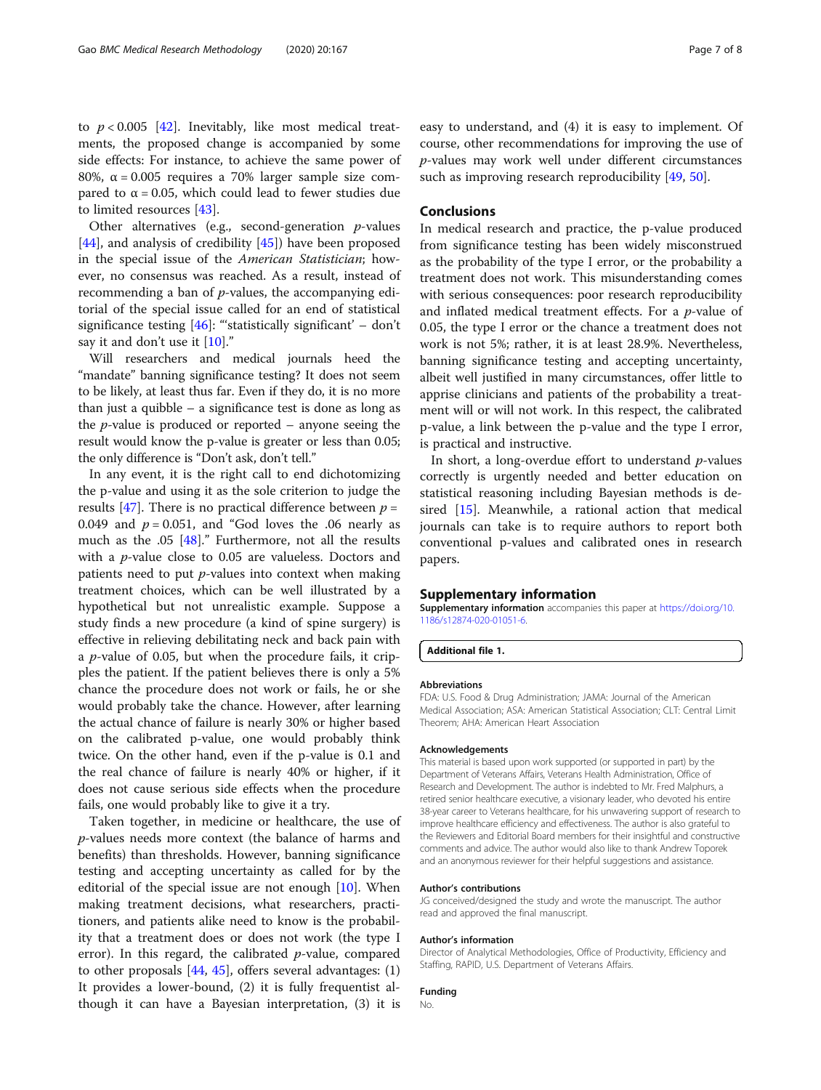<span id="page-6-0"></span>to  $p < 0.005$  [[42\]](#page-7-0). Inevitably, like most medical treatments, the proposed change is accompanied by some side effects: For instance, to achieve the same power of 80%, α = 0.005 requires a 70% larger sample size compared to  $α = 0.05$ , which could lead to fewer studies due to limited resources [\[43\]](#page-7-0).

Other alternatives (e.g., second-generation  $p$ -values [[44\]](#page-7-0), and analysis of credibility  $[45]$ ] have been proposed in the special issue of the American Statistician; however, no consensus was reached. As a result, instead of recommending a ban of  $p$ -values, the accompanying editorial of the special issue called for an end of statistical significance testing  $[46]$ : "statistically significant' – don't say it and don't use it  $[10]$  $[10]$ ."

Will researchers and medical journals heed the "mandate" banning significance testing? It does not seem to be likely, at least thus far. Even if they do, it is no more than just a quibble – a significance test is done as long as the *p*-value is produced or reported – anyone seeing the result would know the p-value is greater or less than 0.05; the only difference is "Don't ask, don't tell."

In any event, it is the right call to end dichotomizing the p-value and using it as the sole criterion to judge the results [[47](#page-7-0)]. There is no practical difference between  $p =$ 0.049 and  $p = 0.051$ , and "God loves the .06 nearly as much as the .05 [\[48](#page-7-0)]." Furthermore, not all the results with a p-value close to 0.05 are valueless. Doctors and patients need to put  $p$ -values into context when making treatment choices, which can be well illustrated by a hypothetical but not unrealistic example. Suppose a study finds a new procedure (a kind of spine surgery) is effective in relieving debilitating neck and back pain with a *p*-value of 0.05, but when the procedure fails, it cripples the patient. If the patient believes there is only a 5% chance the procedure does not work or fails, he or she would probably take the chance. However, after learning the actual chance of failure is nearly 30% or higher based on the calibrated p-value, one would probably think twice. On the other hand, even if the p-value is 0.1 and the real chance of failure is nearly 40% or higher, if it does not cause serious side effects when the procedure fails, one would probably like to give it a try.

Taken together, in medicine or healthcare, the use of p-values needs more context (the balance of harms and benefits) than thresholds. However, banning significance testing and accepting uncertainty as called for by the editorial of the special issue are not enough  $[10]$  $[10]$ . When making treatment decisions, what researchers, practitioners, and patients alike need to know is the probability that a treatment does or does not work (the type I error). In this regard, the calibrated  $p$ -value, compared to other proposals  $[44, 45]$  $[44, 45]$  $[44, 45]$  $[44, 45]$ , offers several advantages:  $(1)$ It provides a lower-bound, (2) it is fully frequentist although it can have a Bayesian interpretation, (3) it is

easy to understand, and (4) it is easy to implement. Of course, other recommendations for improving the use of p-values may work well under different circumstances such as improving research reproducibility [[49](#page-7-0), [50](#page-7-0)].

# Conclusions

In medical research and practice, the p-value produced from significance testing has been widely misconstrued as the probability of the type I error, or the probability a treatment does not work. This misunderstanding comes with serious consequences: poor research reproducibility and inflated medical treatment effects. For a  $p$ -value of 0.05, the type I error or the chance a treatment does not work is not 5%; rather, it is at least 28.9%. Nevertheless, banning significance testing and accepting uncertainty, albeit well justified in many circumstances, offer little to apprise clinicians and patients of the probability a treatment will or will not work. In this respect, the calibrated p-value, a link between the p-value and the type I error, is practical and instructive.

In short, a long-overdue effort to understand  $p$ -values correctly is urgently needed and better education on statistical reasoning including Bayesian methods is desired [\[15](#page-7-0)]. Meanwhile, a rational action that medical journals can take is to require authors to report both conventional p-values and calibrated ones in research papers.

## Supplementary information

Supplementary information accompanies this paper at [https://doi.org/10.](https://doi.org/10.1186/s12874-020-01051-6) [1186/s12874-020-01051-6](https://doi.org/10.1186/s12874-020-01051-6).

Additional file 1.

## Abbreviations

FDA: U.S. Food & Drug Administration; JAMA: Journal of the American Medical Association; ASA: American Statistical Association; CLT: Central Limit Theorem; AHA: American Heart Association

#### Acknowledgements

This material is based upon work supported (or supported in part) by the Department of Veterans Affairs, Veterans Health Administration, Office of Research and Development. The author is indebted to Mr. Fred Malphurs, a retired senior healthcare executive, a visionary leader, who devoted his entire 38-year career to Veterans healthcare, for his unwavering support of research to improve healthcare efficiency and effectiveness. The author is also grateful to the Reviewers and Editorial Board members for their insightful and constructive comments and advice. The author would also like to thank Andrew Toporek and an anonymous reviewer for their helpful suggestions and assistance.

#### Author's contributions

JG conceived/designed the study and wrote the manuscript. The author read and approved the final manuscript.

#### Author's information

Director of Analytical Methodologies, Office of Productivity, Efficiency and Staffing, RAPID, U.S. Department of Veterans Affairs.

# Funding

No.